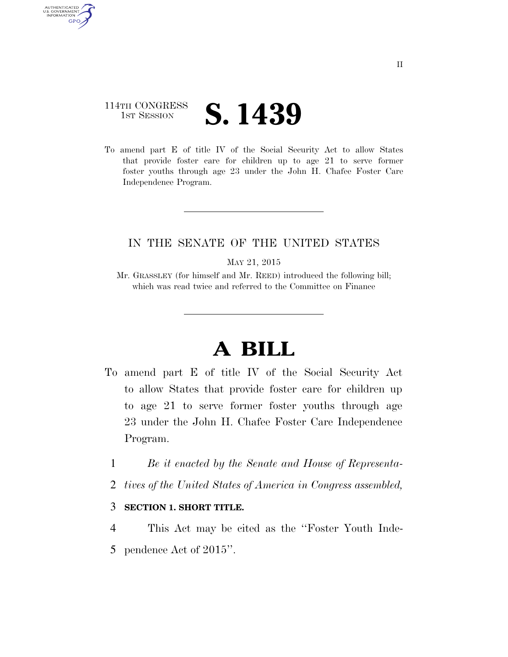## 114TH CONGRESS **IST SESSION S. 1439**

AUTHENTICATED<br>U.S. GOVERNMENT<br>INFORMATION **GPO** 

> To amend part E of title IV of the Social Security Act to allow States that provide foster care for children up to age 21 to serve former foster youths through age 23 under the John H. Chafee Foster Care Independence Program.

## IN THE SENATE OF THE UNITED STATES

MAY 21, 2015

Mr. GRASSLEY (for himself and Mr. REED) introduced the following bill; which was read twice and referred to the Committee on Finance

## **A BILL**

- To amend part E of title IV of the Social Security Act to allow States that provide foster care for children up to age 21 to serve former foster youths through age 23 under the John H. Chafee Foster Care Independence Program.
	- 1 *Be it enacted by the Senate and House of Representa-*
	- 2 *tives of the United States of America in Congress assembled,*

## 3 **SECTION 1. SHORT TITLE.**

4 This Act may be cited as the ''Foster Youth Inde-5 pendence Act of 2015''.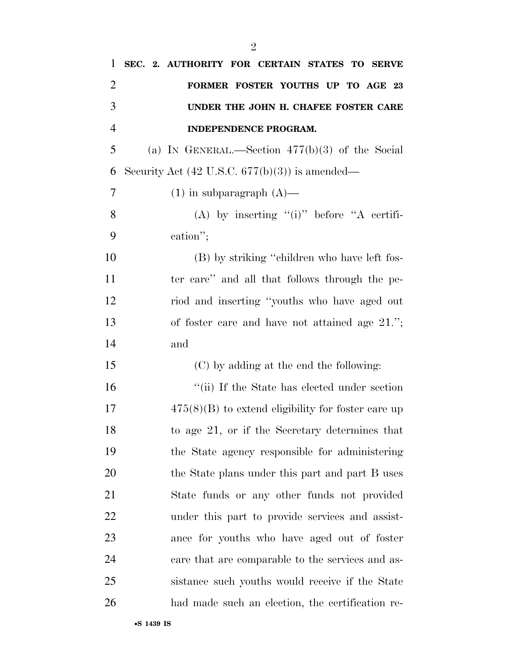| 1              | SEC. 2. AUTHORITY FOR CERTAIN STATES TO SERVE             |
|----------------|-----------------------------------------------------------|
| $\overline{2}$ | FORMER FOSTER YOUTHS UP TO AGE 23                         |
| 3              | UNDER THE JOHN H. CHAFEE FOSTER CARE                      |
| $\overline{4}$ | INDEPENDENCE PROGRAM.                                     |
| 5              | (a) IN GENERAL.—Section $477(b)(3)$ of the Social         |
| 6              | Security Act $(42 \text{ U.S.C. } 677(b)(3))$ is amended— |
| 7              | $(1)$ in subparagraph $(A)$ —                             |
| 8              | (A) by inserting " $(i)$ " before "A certifi-             |
| 9              | cation";                                                  |
| 10             | (B) by striking "children who have left fos-              |
| 11             | ter care" and all that follows through the pe-            |
| 12             | riod and inserting "youths who have aged out              |
| 13             | of foster care and have not attained age $21.'$ ;         |
| 14             | and                                                       |
| 15             | (C) by adding at the end the following:                   |
| 16             | "(ii) If the State has elected under section              |
| 17             | $475(8)(B)$ to extend eligibility for foster care up      |
| 18             | to age 21, or if the Secretary determines that            |
| 19             | the State agency responsible for administering            |
| 20             | the State plans under this part and part B uses           |
| 21             | State funds or any other funds not provided               |
| 22             | under this part to provide services and assist-           |
| 23             | ance for youths who have aged out of foster               |
| 24             | care that are comparable to the services and as-          |
| 25             | sistance such youths would receive if the State           |
| 26             | had made such an election, the certification re-          |